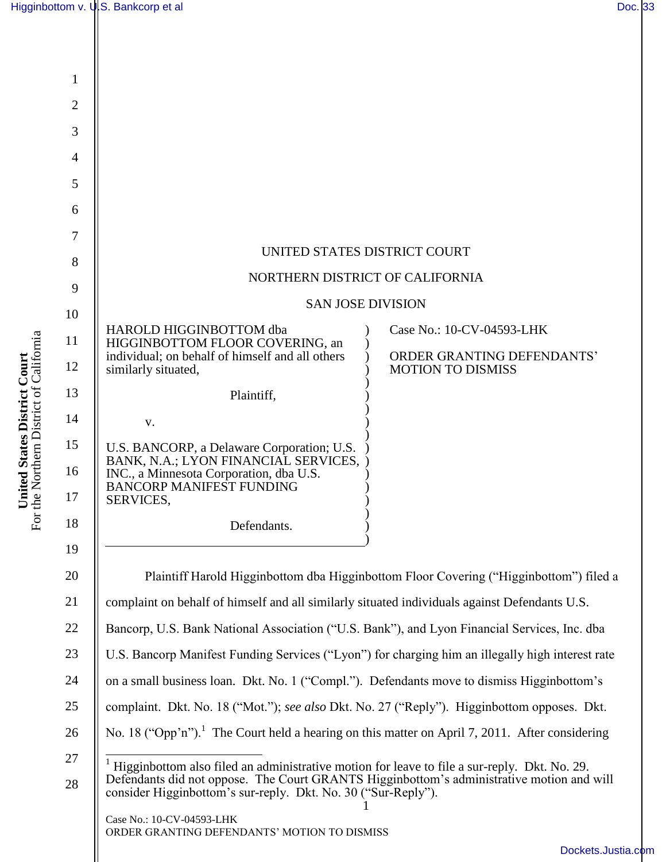| 1              |                                                                                                                                                                                                                                                            |
|----------------|------------------------------------------------------------------------------------------------------------------------------------------------------------------------------------------------------------------------------------------------------------|
| $\overline{2}$ |                                                                                                                                                                                                                                                            |
| 3              |                                                                                                                                                                                                                                                            |
| 4              |                                                                                                                                                                                                                                                            |
| 5              |                                                                                                                                                                                                                                                            |
| 6              |                                                                                                                                                                                                                                                            |
| 7              |                                                                                                                                                                                                                                                            |
| 8              | UNITED STATES DISTRICT COURT                                                                                                                                                                                                                               |
| 9              | NORTHERN DISTRICT OF CALIFORNIA                                                                                                                                                                                                                            |
| 10             | <b>SAN JOSE DIVISION</b>                                                                                                                                                                                                                                   |
| 11             | HAROLD HIGGINBOTTOM dba<br>Case No.: 10-CV-04593-LHK<br>HIGGINBOTTOM FLOOR COVERING, an                                                                                                                                                                    |
| 12             | individual; on behalf of himself and all others<br>ORDER GRANTING DEFENDANTS'<br>similarly situated,<br><b>MOTION TO DISMISS</b>                                                                                                                           |
| 13             | Plaintiff,                                                                                                                                                                                                                                                 |
| 14             | V.                                                                                                                                                                                                                                                         |
| 15             | U.S. BANCORP, a Delaware Corporation; U.S.<br>BANK, N.A.; LYON FINANCIAL SERVICES,                                                                                                                                                                         |
| 16             | INC., a Minnesota Corporation, dba U.S.<br><b>BANCORP MANIFEST FUNDING</b>                                                                                                                                                                                 |
| 17             | SERVICES,                                                                                                                                                                                                                                                  |
| 18             | Defendants.                                                                                                                                                                                                                                                |
| 19             |                                                                                                                                                                                                                                                            |
| 20             | Plaintiff Harold Higginbottom dba Higginbottom Floor Covering ("Higginbottom") filed a                                                                                                                                                                     |
| 21             | complaint on behalf of himself and all similarly situated individuals against Defendants U.S.                                                                                                                                                              |
| 22             | Bancorp, U.S. Bank National Association ("U.S. Bank"), and Lyon Financial Services, Inc. dba                                                                                                                                                               |
| 23             | U.S. Bancorp Manifest Funding Services ("Lyon") for charging him an illegally high interest rate                                                                                                                                                           |
| 24             | on a small business loan. Dkt. No. 1 ("Compl."). Defendants move to dismiss Higginbottom's                                                                                                                                                                 |
| 25             | complaint. Dkt. No. 18 ("Mot."); see also Dkt. No. 27 ("Reply"). Higginbottom opposes. Dkt.                                                                                                                                                                |
| 26             | No. 18 ("Opp'n"). <sup>1</sup> The Court held a hearing on this matter on April 7, 2011. After considering                                                                                                                                                 |
| 27<br>28       | Higginbottom also filed an administrative motion for leave to file a sur-reply. Dkt. No. 29.<br>Defendants did not oppose. The Court GRANTS Higginbottom's administrative motion and will<br>consider Higginbottom's sur-reply. Dkt. No. 30 ("Sur-Reply"). |
|                | Case No.: 10-CV-04593-LHK<br>ORDER GRANTING DEFENDANTS' MOTION TO DISMISS                                                                                                                                                                                  |
|                | Dockets.Justi                                                                                                                                                                                                                                              |

United States District Court<br>For the Northern District of California For the Northern District of California **United States District Court**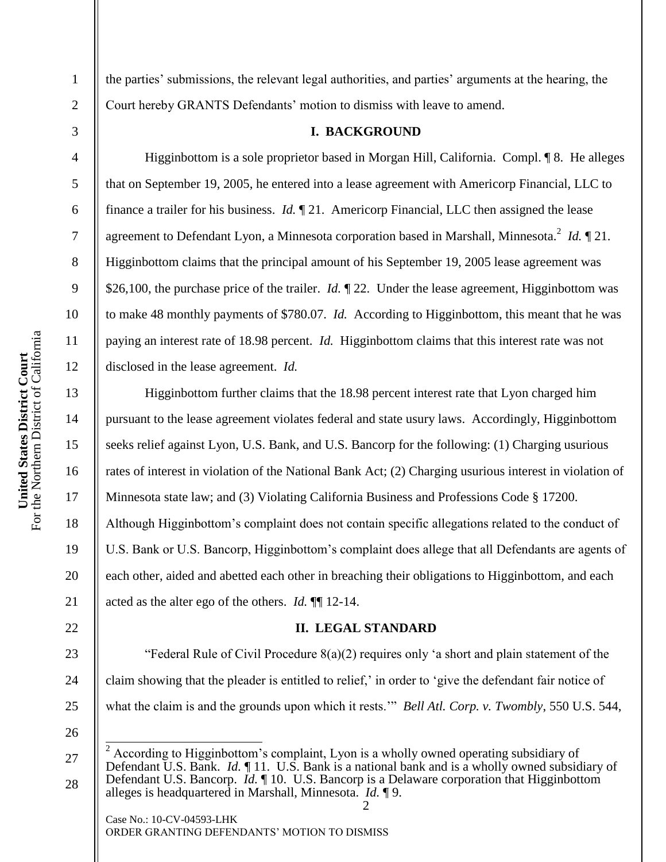2

3

4

5

6

7

8

9

10

11

12

13

14

15

16

17

18

19

20

21

22

the parties" submissions, the relevant legal authorities, and parties" arguments at the hearing, the Court hereby GRANTS Defendants" motion to dismiss with leave to amend.

#### **I. BACKGROUND**

Higginbottom is a sole proprietor based in Morgan Hill, California. Compl. ¶ 8. He alleges that on September 19, 2005, he entered into a lease agreement with Americorp Financial, LLC to finance a trailer for his business. *Id.* ¶ 21. Americorp Financial, LLC then assigned the lease agreement to Defendant Lyon, a Minnesota corporation based in Marshall, Minnesota.<sup>2</sup> *Id.* 121. Higginbottom claims that the principal amount of his September 19, 2005 lease agreement was \$26,100, the purchase price of the trailer. *Id.* 122. Under the lease agreement, Higginbottom was to make 48 monthly payments of \$780.07. *Id.* According to Higginbottom, this meant that he was paying an interest rate of 18.98 percent. *Id.* Higginbottom claims that this interest rate was not disclosed in the lease agreement. *Id.*

Higginbottom further claims that the 18.98 percent interest rate that Lyon charged him pursuant to the lease agreement violates federal and state usury laws. Accordingly, Higginbottom seeks relief against Lyon, U.S. Bank, and U.S. Bancorp for the following: (1) Charging usurious rates of interest in violation of the National Bank Act; (2) Charging usurious interest in violation of Minnesota state law; and (3) Violating California Business and Professions Code § 17200. Although Higginbottom"s complaint does not contain specific allegations related to the conduct of U.S. Bank or U.S. Bancorp, Higginbottom"s complaint does allege that all Defendants are agents of each other, aided and abetted each other in breaching their obligations to Higginbottom, and each acted as the alter ego of the others. *Id.* ¶¶ 12-14.

#### **II. LEGAL STANDARD**

23 24 25 "Federal Rule of Civil Procedure 8(a)(2) requires only "a short and plain statement of the claim showing that the pleader is entitled to relief," in order to "give the defendant fair notice of what the claim is and the grounds upon which it rests."" *Bell Atl. Corp. v. Twombly*, 550 U.S. 544,

26

27

 $\overline{\phantom{a}}$ 

<sup>28</sup>  $2$  According to Higginbottom's complaint, Lyon is a wholly owned operating subsidiary of Defendant U.S. Bank. *Id.* ¶ 11. U.S. Bank is a national bank and is a wholly owned subsidiary of Defendant U.S. Bancorp. *Id.* ¶ 10. U.S. Bancorp is a Delaware corporation that Higginbottom alleges is headquartered in Marshall, Minnesota. *Id.* ¶ 9.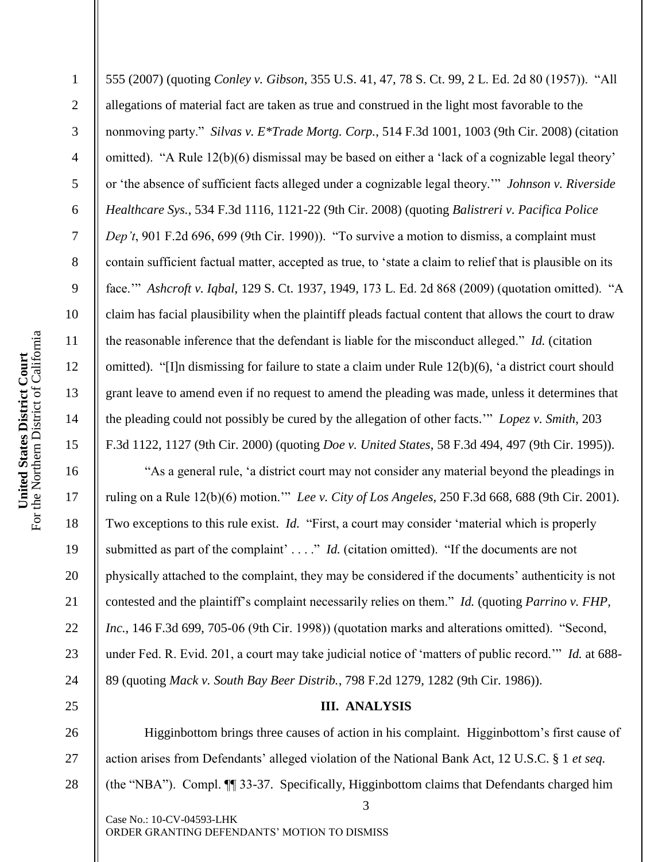2

3

4

5

6

7

8

9

10

11

12

13

14

15

16

17

18

19

20

21

22

23

24

25

555 (2007) (quoting *Conley v. Gibson*, 355 U.S. 41, 47, 78 S. Ct. 99, 2 L. Ed. 2d 80 (1957)). "All allegations of material fact are taken as true and construed in the light most favorable to the nonmoving party." *Silvas v. E\*Trade Mortg. Corp.*, 514 F.3d 1001, 1003 (9th Cir. 2008) (citation omitted). "A Rule 12(b)(6) dismissal may be based on either a "lack of a cognizable legal theory" or "the absence of sufficient facts alleged under a cognizable legal theory."" *Johnson v. Riverside Healthcare Sys.*, 534 F.3d 1116, 1121-22 (9th Cir. 2008) (quoting *Balistreri v. Pacifica Police Dep't*, 901 F.2d 696, 699 (9th Cir. 1990)). "To survive a motion to dismiss, a complaint must contain sufficient factual matter, accepted as true, to "state a claim to relief that is plausible on its face."" *Ashcroft v. Iqbal*, 129 S. Ct. 1937, 1949, 173 L. Ed. 2d 868 (2009) (quotation omitted). "A claim has facial plausibility when the plaintiff pleads factual content that allows the court to draw the reasonable inference that the defendant is liable for the misconduct alleged." *Id.* (citation omitted). "[I]n dismissing for failure to state a claim under Rule 12(b)(6), "a district court should grant leave to amend even if no request to amend the pleading was made, unless it determines that the pleading could not possibly be cured by the allegation of other facts."" *Lopez v. Smith*, 203 F.3d 1122, 1127 (9th Cir. 2000) (quoting *Doe v. United States*, 58 F.3d 494, 497 (9th Cir. 1995)).

"As a general rule, "a district court may not consider any material beyond the pleadings in ruling on a Rule 12(b)(6) motion."" *Lee v. City of Los Angeles*, 250 F.3d 668, 688 (9th Cir. 2001). Two exceptions to this rule exist. *Id.* "First, a court may consider "material which is properly submitted as part of the complaint' . . . ." *Id.* (citation omitted). "If the documents are not physically attached to the complaint, they may be considered if the documents" authenticity is not contested and the plaintiff"s complaint necessarily relies on them." *Id.* (quoting *Parrino v. FHP, Inc.*, 146 F.3d 699, 705-06 (9th Cir. 1998)) (quotation marks and alterations omitted). "Second, under Fed. R. Evid. 201, a court may take judicial notice of "matters of public record."" *Id.* at 688- 89 (quoting *Mack v. South Bay Beer Distrib.*, 798 F.2d 1279, 1282 (9th Cir. 1986)).

# **III. ANALYSIS**

26 27 28 Higginbottom brings three causes of action in his complaint. Higginbottom"s first cause of action arises from Defendants" alleged violation of the National Bank Act, 12 U.S.C. § 1 *et seq.* (the "NBA"). Compl. ¶¶ 33-37. Specifically, Higginbottom claims that Defendants charged him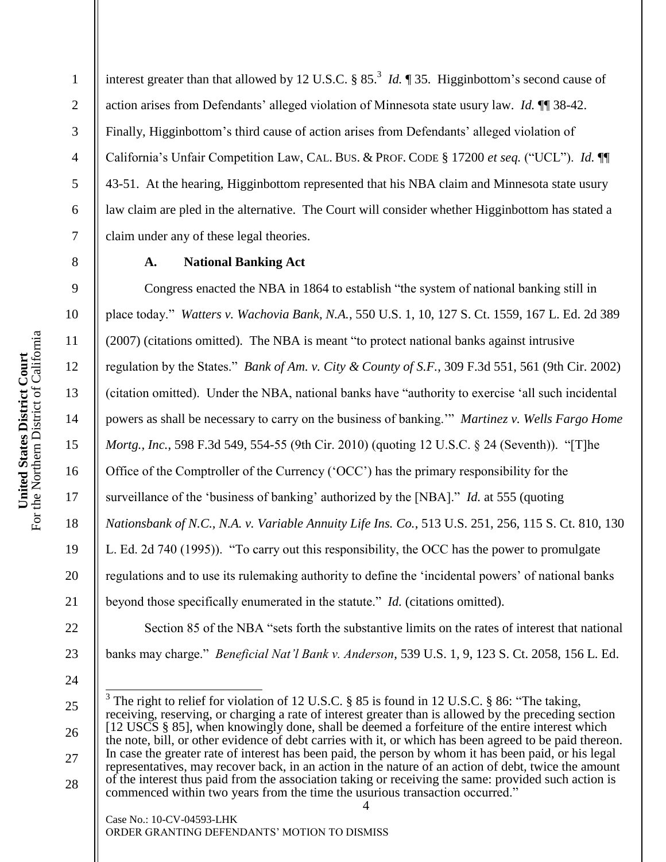interest greater than that allowed by 12 U.S.C.  $\S 85$ .<sup>3</sup> *Id.*  $\P 35$ . Higginbottom's second cause of action arises from Defendants" alleged violation of Minnesota state usury law. *Id.* ¶¶ 38-42. Finally, Higginbottom's third cause of action arises from Defendants' alleged violation of California"s Unfair Competition Law, CAL. BUS. & PROF. CODE § 17200 *et seq.* ("UCL"). *Id.* ¶¶ 43-51. At the hearing, Higginbottom represented that his NBA claim and Minnesota state usury law claim are pled in the alternative. The Court will consider whether Higginbottom has stated a claim under any of these legal theories.

## **A. National Banking Act**

Congress enacted the NBA in 1864 to establish "the system of national banking still in place today." *Watters v. Wachovia Bank, N.A.*, 550 U.S. 1, 10, 127 S. Ct. 1559, 167 L. Ed. 2d 389 (2007) (citations omitted). The NBA is meant "to protect national banks against intrusive regulation by the States." *Bank of Am. v. City & County of S.F.*, 309 F.3d 551, 561 (9th Cir. 2002) (citation omitted). Under the NBA, national banks have "authority to exercise "all such incidental powers as shall be necessary to carry on the business of banking."" *Martinez v. Wells Fargo Home Mortg., Inc.*, 598 F.3d 549, 554-55 (9th Cir. 2010) (quoting 12 U.S.C. § 24 (Seventh)). "[T]he Office of the Comptroller of the Currency ("OCC") has the primary responsibility for the surveillance of the 'business of banking' authorized by the [NBA]." *Id.* at 555 (quoting *Nationsbank of N.C., N.A. v. Variable Annuity Life Ins. Co.*, 513 U.S. 251, 256, 115 S. Ct. 810, 130 L. Ed. 2d 740 (1995)). "To carry out this responsibility, the OCC has the power to promulgate regulations and to use its rulemaking authority to define the "incidental powers" of national banks beyond those specifically enumerated in the statute." *Id.* (citations omitted).

Section 85 of the NBA "sets forth the substantive limits on the rates of interest that national banks may charge." *Beneficial Nat'l Bank v. Anderson*, 539 U.S. 1, 9, 123 S. Ct. 2058, 156 L. Ed.

4 25 26 27 28 <sup>3</sup> The right to relief for violation of 12 U.S.C. § 85 is found in 12 U.S.C. § 86: "The taking, receiving, reserving, or charging a rate of interest greater than is allowed by the preceding section [12 USCS § 85], when knowingly done, shall be deemed a forfeiture of the entire interest which the note, bill, or other evidence of debt carries with it, or which has been agreed to be paid thereon. In case the greater rate of interest has been paid, the person by whom it has been paid, or his legal representatives, may recover back, in an action in the nature of an action of debt, twice the amount of the interest thus paid from the association taking or receiving the same: provided such action is commenced within two years from the time the usurious transaction occurred."

Case No.: 10-CV-04593-LHK ORDER GRANTING DEFENDANTS" MOTION TO DISMISS

1

2

3

4

5

6

7

8

9

10

11

12

13

14

15

16

17

18

19

20

21

22

23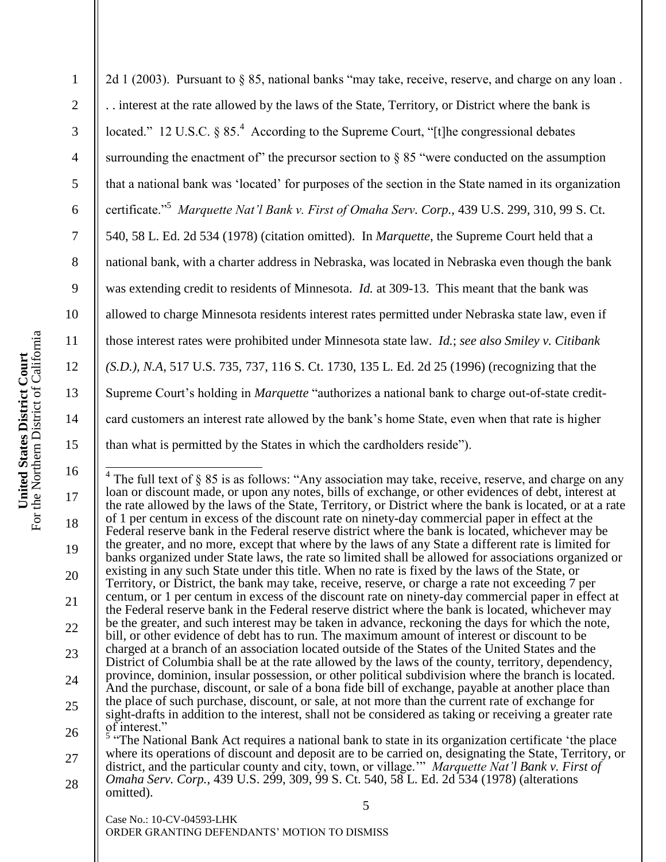| 2d 1 (2003). Pursuant to § 85, national banks "may take, receive, reserve, and charge on any loan.          |
|-------------------------------------------------------------------------------------------------------------|
| interest at the rate allowed by the laws of the State, Territory, or District where the bank is             |
| located." 12 U.S.C. § 85. <sup>4</sup> According to the Supreme Court, "[t]he congressional debates         |
| surrounding the enactment of" the precursor section to $\S 85$ "were conducted on the assumption            |
| that a national bank was 'located' for purposes of the section in the State named in its organization       |
| certificate." <sup>5</sup> Marquette Nat'l Bank v. First of Omaha Serv. Corp., 439 U.S. 299, 310, 99 S. Ct. |
| 540, 58 L. Ed. 2d 534 (1978) (citation omitted). In Marquette, the Supreme Court held that a                |
| national bank, with a charter address in Nebraska, was located in Nebraska even though the bank             |
| was extending credit to residents of Minnesota. <i>Id.</i> at 309-13. This meant that the bank was          |
| allowed to charge Minnesota residents interest rates permitted under Nebraska state law, even if            |
| those interest rates were prohibited under Minnesota state law. <i>Id.; see also Smiley v. Citibank</i>     |
| (S.D.), N.A, 517 U.S. 735, 737, 116 S. Ct. 1730, 135 L. Ed. 2d 25 (1996) (recognizing that the              |
| Supreme Court's holding in Marquette "authorizes a national bank to charge out-of-state credit-             |
| card customers an interest rate allowed by the bank's home State, even when that rate is higher             |
| than what is permitted by the States in which the cardholders reside").                                     |
|                                                                                                             |

 $^{4}$  The full text of § 85 is as follows: "Any association may take, receive, reserve, and charge on any loan or discount made, or upon any notes, bills of exchange, or other evidences of debt, interest at the rate allowed by the laws of the State, Territory, or District where the bank is located, or at a rate of 1 per centum in excess of the discount rate on ninety-day commercial paper in effect at the Federal reserve bank in the Federal reserve district where the bank is located, whichever may be the greater, and no more, except that where by the laws of any State a different rate is limited for banks organized under State laws, the rate so limited shall be allowed for associations organized or existing in any such State under this title. When no rate is fixed by the laws of the State, or Territory, or District, the bank may take, receive, reserve, or charge a rate not exceeding 7 per centum, or 1 per centum in excess of the discount rate on ninety-day commercial paper in effect at the Federal reserve bank in the Federal reserve district where the bank is located, whichever may be the greater, and such interest may be taken in advance, reckoning the days for which the note, bill, or other evidence of debt has to run. The maximum amount of interest or discount to be charged at a branch of an association located outside of the States of the United States and the District of Columbia shall be at the rate allowed by the laws of the county, territory, dependency, province, dominion, insular possession, or other political subdivision where the branch is located. And the purchase, discount, or sale of a bona fide bill of exchange, payable at another place than the place of such purchase, discount, or sale, at not more than the current rate of exchange for sight-drafts in addition to the interest, shall not be considered as taking or receiving a greater rate of interest."  $\frac{5}{3}$  "The National Bank Act requires a national bank to state in its organization certificate 'the place

5 27 28 where its operations of discount and deposit are to be carried on, designating the State, Territory, or district, and the particular county and city, town, or village."" *Marquette Nat'l Bank v. First of Omaha Serv. Corp.*, 439 U.S. 299, 309, 99 S. Ct. 540, 58 L. Ed. 2d 534 (1978) (alterations omitted).

Case No.: 10-CV-04593-LHK ORDER GRANTING DEFENDANTS" MOTION TO DISMISS

1

2

3

4

5

6

7

8

9

10

11

12

13

14

15

16

17

18

19

20

21

22

23

24

25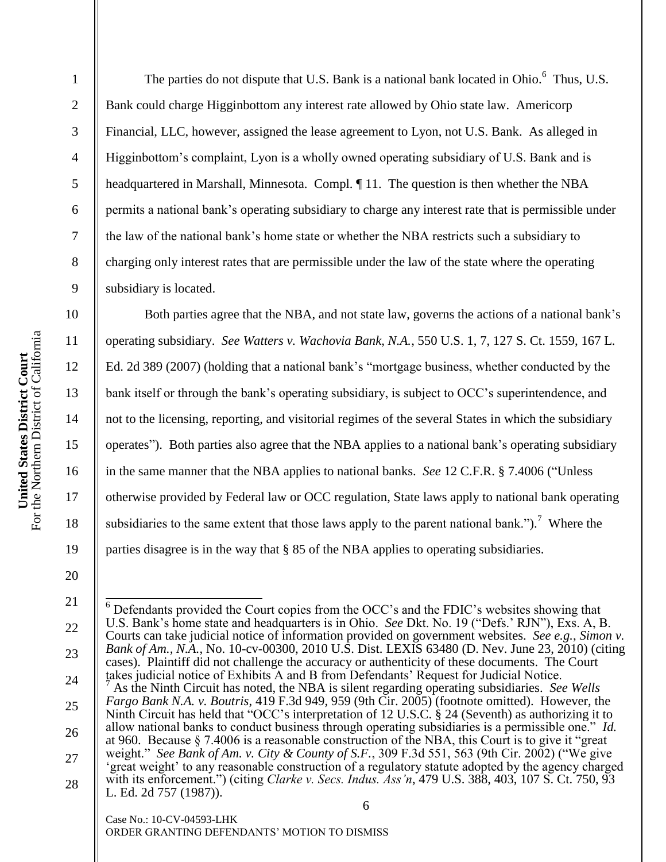2 3 4 5 6 7 8 9 10 11 12 Bank could charge Higginbottom any interest rate allowed by Ohio state law. Americorp Financial, LLC, however, assigned the lease agreement to Lyon, not U.S. Bank. As alleged in Higginbottom"s complaint, Lyon is a wholly owned operating subsidiary of U.S. Bank and is headquartered in Marshall, Minnesota. Compl. ¶ 11. The question is then whether the NBA permits a national bank"s operating subsidiary to charge any interest rate that is permissible under the law of the national bank"s home state or whether the NBA restricts such a subsidiary to charging only interest rates that are permissible under the law of the state where the operating subsidiary is located. Both parties agree that the NBA, and not state law, governs the actions of a national bank"s

operating subsidiary. *See Watters v. Wachovia Bank, N.A.*, 550 U.S. 1, 7, 127 S. Ct. 1559, 167 L. Ed. 2d 389 (2007) (holding that a national bank"s "mortgage business, whether conducted by the bank itself or through the bank"s operating subsidiary, is subject to OCC"s superintendence, and not to the licensing, reporting, and visitorial regimes of the several States in which the subsidiary operates"). Both parties also agree that the NBA applies to a national bank"s operating subsidiary in the same manner that the NBA applies to national banks. *See* 12 C.F.R. § 7.4006 ("Unless otherwise provided by Federal law or OCC regulation, State laws apply to national bank operating subsidiaries to the same extent that those laws apply to the parent national bank.").<sup>7</sup> Where the parties disagree is in the way that § 85 of the NBA applies to operating subsidiaries.

The parties do not dispute that U.S. Bank is a national bank located in Ohio.<sup>6</sup> Thus, U.S.

19 20

13

14

15

16

17

18

1

<sup>6</sup> 21 22 23 24 25 26 27 28  $\overline{\phantom{a}}$  $6$  Defendants provided the Court copies from the OCC's and the FDIC's websites showing that U.S. Bank"s home state and headquarters is in Ohio. *See* Dkt. No. 19 ("Defs." RJN"), Exs. A, B. Courts can take judicial notice of information provided on government websites. *See e.g.*, *Simon v. Bank of Am., N.A.*, No. 10-cv-00300, 2010 U.S. Dist. LEXIS 63480 (D. Nev. June 23, 2010) (citing cases). Plaintiff did not challenge the accuracy or authenticity of these documents. The Court takes judicial notice of Exhibits A and B from Defendants" Request for Judicial Notice. <sup>7</sup> As the Ninth Circuit has noted, the NBA is silent regarding operating subsidiaries. *See Wells Fargo Bank N.A. v. Boutris*, 419 F.3d 949, 959 (9th Cir. 2005) (footnote omitted). However, the Ninth Circuit has held that "OCC"s interpretation of 12 U.S.C. § 24 (Seventh) as authorizing it to allow national banks to conduct business through operating subsidiaries is a permissible one." *Id.* at 960. Because § 7.4006 is a reasonable construction of the NBA, this Court is to give it "great weight." *See Bank of Am. v. City & County of S.F.*, 309 F.3d 551, 563 (9th Cir. 2002) ("We give 'great weight' to any reasonable construction of a regulatory statute adopted by the agency charged with its enforcement.") (citing *Clarke v. Secs. Indus. Ass'n*, 479 U.S. 388, 403, 107 S. Ct. 750, 93 L. Ed. 2d 757 (1987)).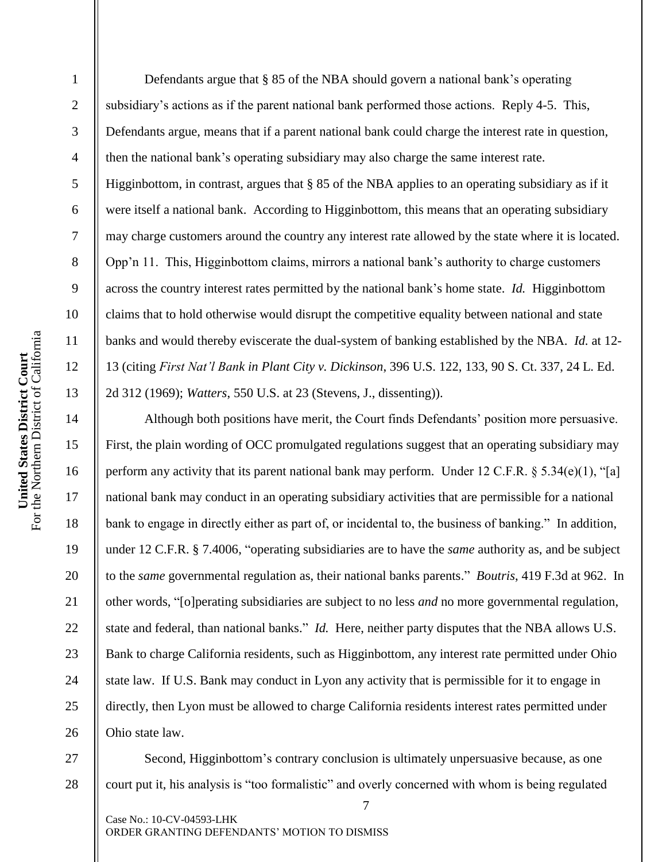4 5 6 7 8 9 10 United States District Court<br>For the Northern District of California For the Northern District of California 11 **United States District Court** 12 13 14 15 16 17

18

19

20

21

22

23

24

25

26

1

2

3

Defendants argue that  $\S 85$  of the NBA should govern a national bank's operating subsidiary"s actions as if the parent national bank performed those actions. Reply 4-5. This, Defendants argue, means that if a parent national bank could charge the interest rate in question, then the national bank"s operating subsidiary may also charge the same interest rate. Higginbottom, in contrast, argues that § 85 of the NBA applies to an operating subsidiary as if it were itself a national bank. According to Higginbottom, this means that an operating subsidiary may charge customers around the country any interest rate allowed by the state where it is located. Opp"n 11. This, Higginbottom claims, mirrors a national bank"s authority to charge customers across the country interest rates permitted by the national bank"s home state. *Id.* Higginbottom claims that to hold otherwise would disrupt the competitive equality between national and state banks and would thereby eviscerate the dual-system of banking established by the NBA. *Id.* at 12- 13 (citing *First Nat'l Bank in Plant City v. Dickinson*, 396 U.S. 122, 133, 90 S. Ct. 337, 24 L. Ed. 2d 312 (1969); *Watters*, 550 U.S. at 23 (Stevens, J., dissenting)).

Although both positions have merit, the Court finds Defendants' position more persuasive. First, the plain wording of OCC promulgated regulations suggest that an operating subsidiary may perform any activity that its parent national bank may perform. Under 12 C.F.R.  $\S 5.34(e)(1)$ , "[a] national bank may conduct in an operating subsidiary activities that are permissible for a national bank to engage in directly either as part of, or incidental to, the business of banking." In addition, under 12 C.F.R. § 7.4006, "operating subsidiaries are to have the *same* authority as, and be subject to the *same* governmental regulation as, their national banks parents." *Boutris*, 419 F.3d at 962. In other words, "[o]perating subsidiaries are subject to no less *and* no more governmental regulation, state and federal, than national banks." *Id.* Here, neither party disputes that the NBA allows U.S. Bank to charge California residents, such as Higginbottom, any interest rate permitted under Ohio state law. If U.S. Bank may conduct in Lyon any activity that is permissible for it to engage in directly, then Lyon must be allowed to charge California residents interest rates permitted under Ohio state law.

27 28 Second, Higginbottom's contrary conclusion is ultimately unpersuasive because, as one court put it, his analysis is "too formalistic" and overly concerned with whom is being regulated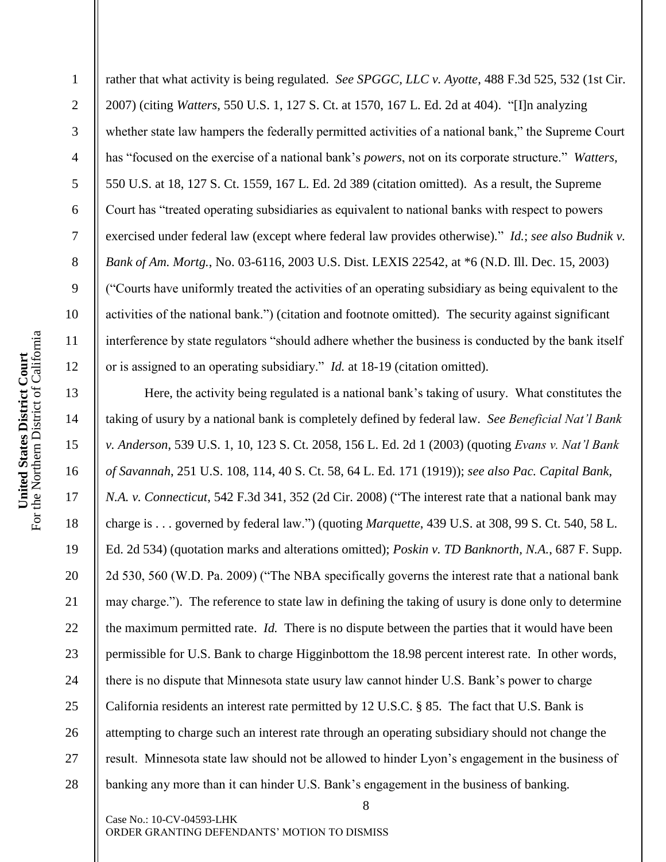2

3

4

5

6

7

8

9

10

11

12

13

14

15

16

17

18

19

20

21

22

23

24

25

26

27

28

rather that what activity is being regulated. *See SPGGC, LLC v. Ayotte*, 488 F.3d 525, 532 (1st Cir. 2007) (citing *Watters*, 550 U.S. 1, 127 S. Ct. at 1570, 167 L. Ed. 2d at 404). "[I]n analyzing whether state law hampers the federally permitted activities of a national bank," the Supreme Court has "focused on the exercise of a national bank"s *powers*, not on its corporate structure." *Watters*, 550 U.S. at 18, 127 S. Ct. 1559, 167 L. Ed. 2d 389 (citation omitted). As a result, the Supreme Court has "treated operating subsidiaries as equivalent to national banks with respect to powers exercised under federal law (except where federal law provides otherwise)." *Id.*; *see also Budnik v. Bank of Am. Mortg.*, No. 03-6116, 2003 U.S. Dist. LEXIS 22542, at \*6 (N.D. Ill. Dec. 15, 2003) ("Courts have uniformly treated the activities of an operating subsidiary as being equivalent to the activities of the national bank.") (citation and footnote omitted). The security against significant interference by state regulators "should adhere whether the business is conducted by the bank itself or is assigned to an operating subsidiary." *Id.* at 18-19 (citation omitted).

Here, the activity being regulated is a national bank"s taking of usury. What constitutes the taking of usury by a national bank is completely defined by federal law. *See Beneficial Nat'l Bank v. Anderson*, 539 U.S. 1, 10, 123 S. Ct. 2058, 156 L. Ed. 2d 1 (2003) (quoting *Evans v. Nat'l Bank of Savannah*, 251 U.S. 108, 114, 40 S. Ct. 58, 64 L. Ed. 171 (1919)); *see also Pac. Capital Bank, N.A. v. Connecticut*, 542 F.3d 341, 352 (2d Cir. 2008) ("The interest rate that a national bank may charge is . . . governed by federal law.") (quoting *Marquette*, 439 U.S. at 308, 99 S. Ct. 540, 58 L. Ed. 2d 534) (quotation marks and alterations omitted); *Poskin v. TD Banknorth, N.A.*, 687 F. Supp. 2d 530, 560 (W.D. Pa. 2009) ("The NBA specifically governs the interest rate that a national bank may charge."). The reference to state law in defining the taking of usury is done only to determine the maximum permitted rate. *Id.* There is no dispute between the parties that it would have been permissible for U.S. Bank to charge Higginbottom the 18.98 percent interest rate. In other words, there is no dispute that Minnesota state usury law cannot hinder U.S. Bank"s power to charge California residents an interest rate permitted by 12 U.S.C. § 85. The fact that U.S. Bank is attempting to charge such an interest rate through an operating subsidiary should not change the result. Minnesota state law should not be allowed to hinder Lyon"s engagement in the business of banking any more than it can hinder U.S. Bank"s engagement in the business of banking.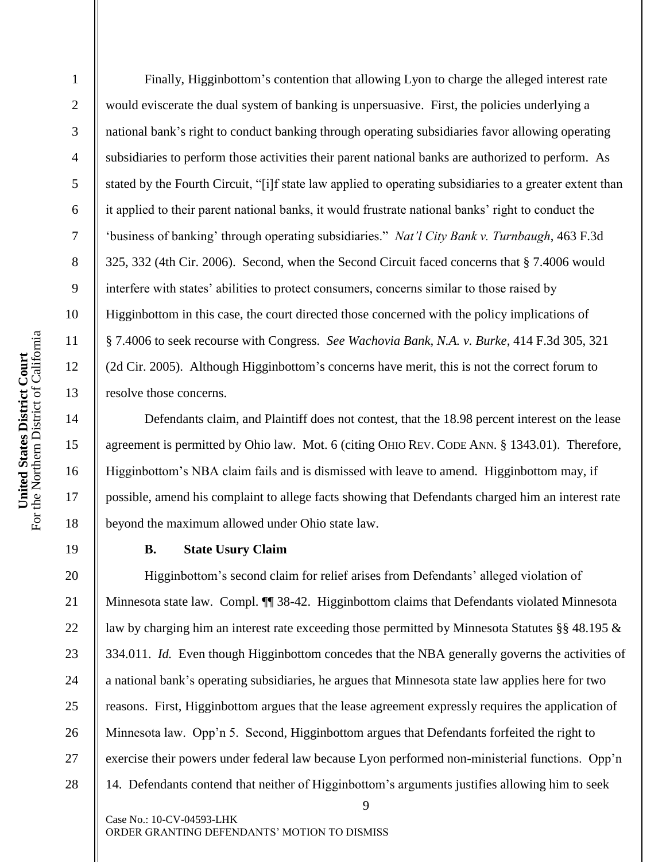19

1

2

3

4

Finally, Higginbottom's contention that allowing Lyon to charge the alleged interest rate would eviscerate the dual system of banking is unpersuasive. First, the policies underlying a national bank"s right to conduct banking through operating subsidiaries favor allowing operating subsidiaries to perform those activities their parent national banks are authorized to perform. As stated by the Fourth Circuit, "[i]f state law applied to operating subsidiaries to a greater extent than it applied to their parent national banks, it would frustrate national banks" right to conduct the "business of banking" through operating subsidiaries." *Nat'l City Bank v. Turnbaugh*, 463 F.3d 325, 332 (4th Cir. 2006). Second, when the Second Circuit faced concerns that § 7.4006 would interfere with states" abilities to protect consumers, concerns similar to those raised by Higginbottom in this case, the court directed those concerned with the policy implications of § 7.4006 to seek recourse with Congress. *See Wachovia Bank, N.A. v. Burke*, 414 F.3d 305, 321 (2d Cir. 2005). Although Higginbottom"s concerns have merit, this is not the correct forum to resolve those concerns.

Defendants claim, and Plaintiff does not contest, that the 18.98 percent interest on the lease agreement is permitted by Ohio law. Mot. 6 (citing OHIO REV. CODE ANN. § 1343.01). Therefore, Higginbottom"s NBA claim fails and is dismissed with leave to amend. Higginbottom may, if possible, amend his complaint to allege facts showing that Defendants charged him an interest rate beyond the maximum allowed under Ohio state law.

#### **B. State Usury Claim**

20 21 22 23 24 25 26 27 28 Higginbottom"s second claim for relief arises from Defendants" alleged violation of Minnesota state law. Compl. ¶¶ 38-42. Higginbottom claims that Defendants violated Minnesota law by charging him an interest rate exceeding those permitted by Minnesota Statutes §§ 48.195 & 334.011. *Id.* Even though Higginbottom concedes that the NBA generally governs the activities of a national bank"s operating subsidiaries, he argues that Minnesota state law applies here for two reasons. First, Higginbottom argues that the lease agreement expressly requires the application of Minnesota law. Opp"n 5. Second, Higginbottom argues that Defendants forfeited the right to exercise their powers under federal law because Lyon performed non-ministerial functions. Opp'n 14. Defendants contend that neither of Higginbottom"s arguments justifies allowing him to seek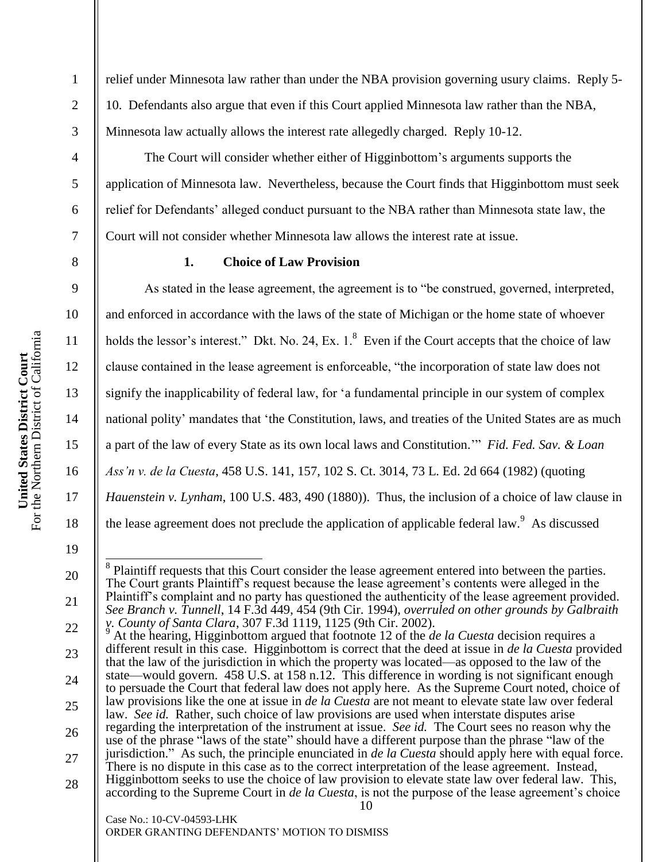2

3

4

5

6

7

8

9

10

11

12

13

14

15

16

17

18

19

20

21

relief under Minnesota law rather than under the NBA provision governing usury claims. Reply 5- 10. Defendants also argue that even if this Court applied Minnesota law rather than the NBA, Minnesota law actually allows the interest rate allegedly charged. Reply 10-12.

The Court will consider whether either of Higginbottom"s arguments supports the application of Minnesota law. Nevertheless, because the Court finds that Higginbottom must seek relief for Defendants" alleged conduct pursuant to the NBA rather than Minnesota state law, the Court will not consider whether Minnesota law allows the interest rate at issue.

## **1. Choice of Law Provision**

As stated in the lease agreement, the agreement is to "be construed, governed, interpreted, and enforced in accordance with the laws of the state of Michigan or the home state of whoever holds the lessor's interest." Dkt. No. 24, Ex.  $1$ . <sup>8</sup> Even if the Court accepts that the choice of law clause contained in the lease agreement is enforceable, "the incorporation of state law does not signify the inapplicability of federal law, for "a fundamental principle in our system of complex national polity" mandates that "the Constitution, laws, and treaties of the United States are as much a part of the law of every State as its own local laws and Constitution."" *Fid. Fed. Sav. & Loan Ass'n v. de la Cuesta*, 458 U.S. 141, 157, 102 S. Ct. 3014, 73 L. Ed. 2d 664 (1982) (quoting *Hauenstein v. Lynham*, 100 U.S. 483, 490 (1880)). Thus, the inclusion of a choice of law clause in the lease agreement does not preclude the application of applicable federal law.  $9$  As discussed

ORDER GRANTING DEFENDANTS" MOTION TO DISMISS

<sup>&</sup>lt;sup>8</sup> Plaintiff requests that this Court consider the lease agreement entered into between the parties. The Court grants Plaintiff"s request because the lease agreement"s contents were alleged in the Plaintiff"s complaint and no party has questioned the authenticity of the lease agreement provided. *See Branch v. Tunnell*, 14 F.3d 449, 454 (9th Cir. 1994), *overruled on other grounds by Galbraith v. County of Santa Clara*, 307 F.3d 1119, 1125 (9th Cir. 2002).

<sup>10</sup> Case No.: 10-CV-04593-LHK 22 23 24 25 26 27 28 <sup>9</sup> At the hearing, Higginbottom argued that footnote 12 of the *de la Cuesta* decision requires a different result in this case. Higginbottom is correct that the deed at issue in *de la Cuesta* provided that the law of the jurisdiction in which the property was located—as opposed to the law of the state—would govern. 458 U.S. at 158 n.12. This difference in wording is not significant enough to persuade the Court that federal law does not apply here. As the Supreme Court noted, choice of law provisions like the one at issue in *de la Cuesta* are not meant to elevate state law over federal law. *See id.* Rather, such choice of law provisions are used when interstate disputes arise regarding the interpretation of the instrument at issue. *See id.* The Court sees no reason why the use of the phrase "laws of the state" should have a different purpose than the phrase "law of the jurisdiction." As such, the principle enunciated in *de la Cuesta* should apply here with equal force. There is no dispute in this case as to the correct interpretation of the lease agreement. Instead, Higginbottom seeks to use the choice of law provision to elevate state law over federal law. This, according to the Supreme Court in *de la Cuesta*, is not the purpose of the lease agreement's choice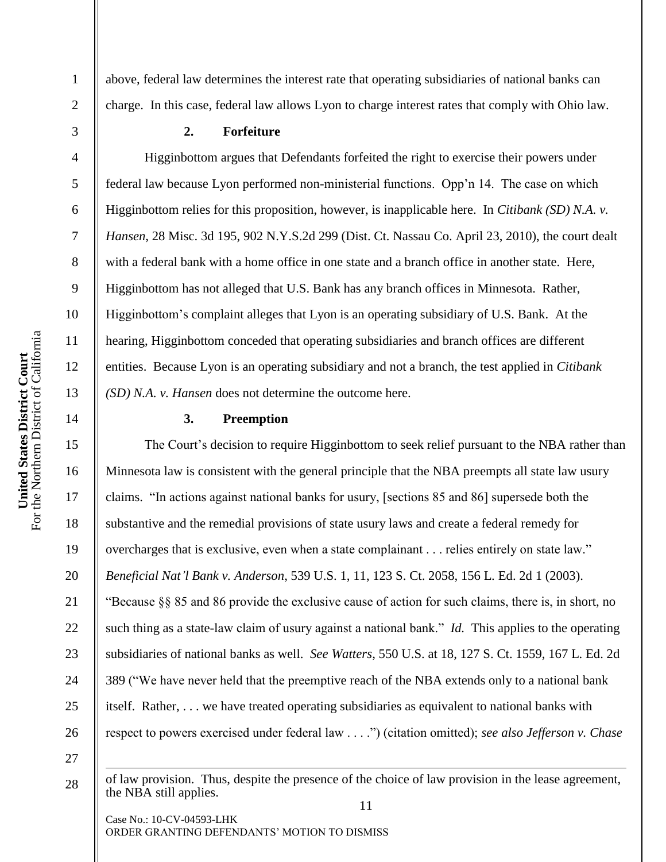2

3

4

5

6

7

8

9

10

11

12

13

14

15

16

17

18

19

20

21

22

23

24

25

26

above, federal law determines the interest rate that operating subsidiaries of national banks can charge. In this case, federal law allows Lyon to charge interest rates that comply with Ohio law.

#### **2. Forfeiture**

Higginbottom argues that Defendants forfeited the right to exercise their powers under federal law because Lyon performed non-ministerial functions. Opp"n 14. The case on which Higginbottom relies for this proposition, however, is inapplicable here. In *Citibank (SD) N.A. v. Hansen*, 28 Misc. 3d 195, 902 N.Y.S.2d 299 (Dist. Ct. Nassau Co. April 23, 2010), the court dealt with a federal bank with a home office in one state and a branch office in another state. Here, Higginbottom has not alleged that U.S. Bank has any branch offices in Minnesota. Rather, Higginbottom"s complaint alleges that Lyon is an operating subsidiary of U.S. Bank. At the hearing, Higginbottom conceded that operating subsidiaries and branch offices are different entities. Because Lyon is an operating subsidiary and not a branch, the test applied in *Citibank (SD) N.A. v. Hansen* does not determine the outcome here.

## **3. Preemption**

The Court's decision to require Higginbottom to seek relief pursuant to the NBA rather than Minnesota law is consistent with the general principle that the NBA preempts all state law usury claims. "In actions against national banks for usury, [sections 85 and 86] supersede both the substantive and the remedial provisions of state usury laws and create a federal remedy for overcharges that is exclusive, even when a state complainant . . . relies entirely on state law." *Beneficial Nat'l Bank v. Anderson*, 539 U.S. 1, 11, 123 S. Ct. 2058, 156 L. Ed. 2d 1 (2003). "Because §§ 85 and 86 provide the exclusive cause of action for such claims, there is, in short, no such thing as a state-law claim of usury against a national bank." *Id.* This applies to the operating subsidiaries of national banks as well. *See Watters*, 550 U.S. at 18, 127 S. Ct. 1559, 167 L. Ed. 2d 389 ("We have never held that the preemptive reach of the NBA extends only to a national bank itself. Rather, . . . we have treated operating subsidiaries as equivalent to national banks with respect to powers exercised under federal law . . . .") (citation omitted); *see also Jefferson v. Chase* 

27 28

 $\overline{a}$ 

11 of law provision. Thus, despite the presence of the choice of law provision in the lease agreement, the NBA still applies.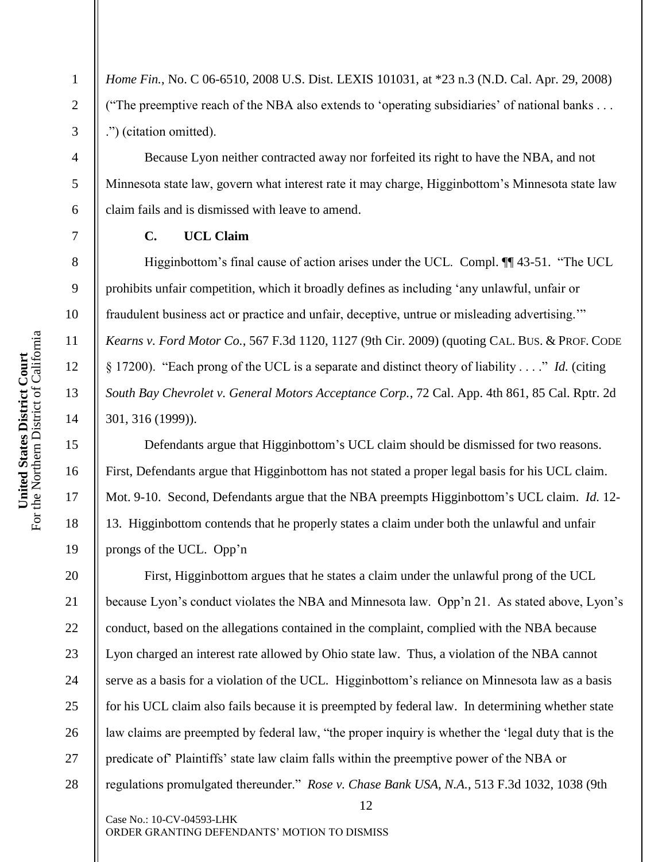*Home Fin.*, No. C 06-6510, 2008 U.S. Dist. LEXIS 101031, at \*23 n.3 (N.D. Cal. Apr. 29, 2008) ("The preemptive reach of the NBA also extends to "operating subsidiaries" of national banks . . . .") (citation omitted).

Because Lyon neither contracted away nor forfeited its right to have the NBA, and not Minnesota state law, govern what interest rate it may charge, Higginbottom"s Minnesota state law claim fails and is dismissed with leave to amend.

# **C. UCL Claim**

Higginbottom"s final cause of action arises under the UCL. Compl. ¶¶ 43-51. "The UCL prohibits unfair competition, which it broadly defines as including "any unlawful, unfair or fraudulent business act or practice and unfair, deceptive, untrue or misleading advertising."" *Kearns v. Ford Motor Co.*, 567 F.3d 1120, 1127 (9th Cir. 2009) (quoting CAL. BUS. & PROF. CODE § 17200). "Each prong of the UCL is a separate and distinct theory of liability . . . ." *Id.* (citing *South Bay Chevrolet v. General Motors Acceptance Corp.*, 72 Cal. App. 4th 861, 85 Cal. Rptr. 2d 301, 316 (1999)).

Defendants argue that Higginbottom"s UCL claim should be dismissed for two reasons. First, Defendants argue that Higginbottom has not stated a proper legal basis for his UCL claim. Mot. 9-10. Second, Defendants argue that the NBA preempts Higginbottom"s UCL claim. *Id.* 12- 13. Higginbottom contends that he properly states a claim under both the unlawful and unfair prongs of the UCL. Opp'n

20 21 22 23 24 25 26 27 28 First, Higginbottom argues that he states a claim under the unlawful prong of the UCL because Lyon's conduct violates the NBA and Minnesota law. Opp'n 21. As stated above, Lyon's conduct, based on the allegations contained in the complaint, complied with the NBA because Lyon charged an interest rate allowed by Ohio state law. Thus, a violation of the NBA cannot serve as a basis for a violation of the UCL. Higginbottom"s reliance on Minnesota law as a basis for his UCL claim also fails because it is preempted by federal law. In determining whether state law claims are preempted by federal law, "the proper inquiry is whether the "legal duty that is the predicate of" Plaintiffs" state law claim falls within the preemptive power of the NBA or regulations promulgated thereunder." *Rose v. Chase Bank USA, N.A.*, 513 F.3d 1032, 1038 (9th

12

1

2

3

4

5

6

7

8

9

10

11

12

13

14

15

16

17

18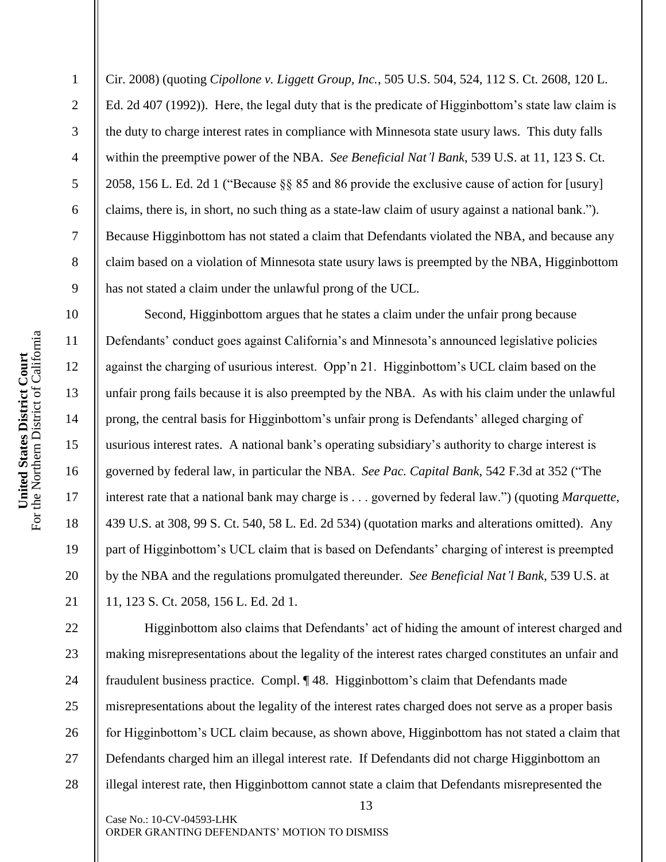Cir. 2008) (quoting *Cipollone v. Liggett Group, Inc.*, 505 U.S. 504, 524, 112 S. Ct. 2608, 120 L. Ed. 2d 407 (1992)). Here, the legal duty that is the predicate of Higginbottom"s state law claim is the duty to charge interest rates in compliance with Minnesota state usury laws. This duty falls within the preemptive power of the NBA. *See Beneficial Nat'l Bank*, 539 U.S. at 11, 123 S. Ct. 2058, 156 L. Ed. 2d 1 ("Because §§ 85 and 86 provide the exclusive cause of action for [usury] claims, there is, in short, no such thing as a state-law claim of usury against a national bank."). Because Higginbottom has not stated a claim that Defendants violated the NBA, and because any claim based on a violation of Minnesota state usury laws is preempted by the NBA, Higginbottom has not stated a claim under the unlawful prong of the UCL.

Second, Higginbottom argues that he states a claim under the unfair prong because Defendants' conduct goes against California's and Minnesota's announced legislative policies against the charging of usurious interest. Opp"n 21. Higginbottom"s UCL claim based on the unfair prong fails because it is also preempted by the NBA. As with his claim under the unlawful prong, the central basis for Higginbottom"s unfair prong is Defendants" alleged charging of usurious interest rates. A national bank"s operating subsidiary"s authority to charge interest is governed by federal law, in particular the NBA. *See Pac. Capital Bank*, 542 F.3d at 352 ("The interest rate that a national bank may charge is . . . governed by federal law.") (quoting *Marquette*, 439 U.S. at 308, 99 S. Ct. 540, 58 L. Ed. 2d 534) (quotation marks and alterations omitted). Any part of Higginbottom's UCL claim that is based on Defendants' charging of interest is preempted by the NBA and the regulations promulgated thereunder. *See Beneficial Nat'l Bank*, 539 U.S. at 11, 123 S. Ct. 2058, 156 L. Ed. 2d 1.

13 22 23 24 25 26 27 28 Higginbottom also claims that Defendants' act of hiding the amount of interest charged and making misrepresentations about the legality of the interest rates charged constitutes an unfair and fraudulent business practice. Compl. ¶ 48. Higginbottom"s claim that Defendants made misrepresentations about the legality of the interest rates charged does not serve as a proper basis for Higginbottom"s UCL claim because, as shown above, Higginbottom has not stated a claim that Defendants charged him an illegal interest rate. If Defendants did not charge Higginbottom an illegal interest rate, then Higginbottom cannot state a claim that Defendants misrepresented the

Case No.: 10-CV-04593-LHK ORDER GRANTING DEFENDANTS" MOTION TO DISMISS

1

2

3

4

5

6

7

8

9

10

11

12

13

14

15

16

17

18

19

20